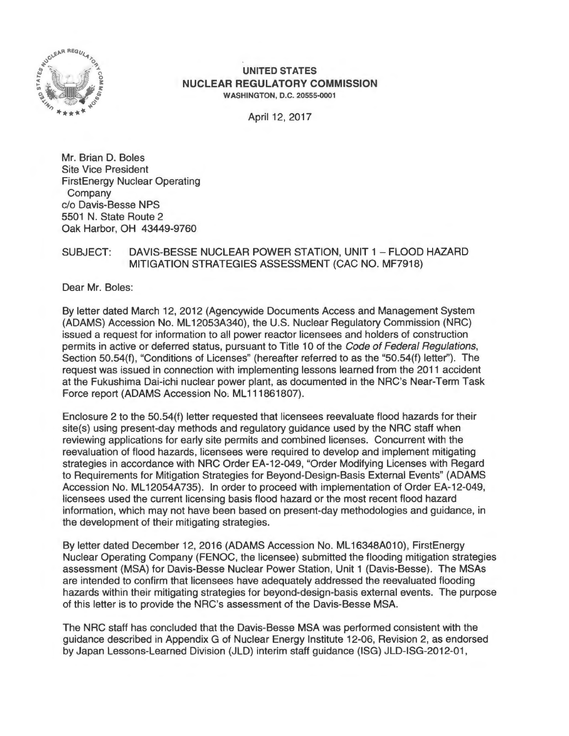

#### **UNITED STATES NUCLEAR REGULATORY COMMISSION**  WASHINGTON, D.C. 20555-0001

April 12, 2017

Mr. Brian D. Boles Site Vice President FirstEnergy Nuclear Operating Company c/o Davis-Besse NPS 5501 N. State Route 2 Oak Harbor, OH 43449-9760

#### SUBJECT: DAVIS-BESSE NUCLEAR POWER STATION, UNIT 1 - FLOOD HAZARD MITIGATION STRATEGIES ASSESSMENT (CAC NO. MF7918}

Dear Mr. Boles:

By letter dated March 12, 2012 (Agencywide Documents Access and Management System (ADAMS) Accession No. ML 12053A340), the U.S. Nuclear Regulatory Commission (NRC) issued a request for information to all power reactor licensees and holders of construction permits in active or deferred status, pursuant to Title 10 of the Code of Federal Regulations, Section 50.54(f), "Conditions of Licenses" (hereafter referred to as the "50.54(f) letter"). The request was issued in connection with implementing lessons learned from the 2011 accident at the Fukushima Dai-ichi nuclear power plant, as documented in the NRC's Near-Term Task Force report (ADAMS Accession No: ML111861807).

Enclosure 2 to the 50.54(f) letter requested that licensees reevaluate flood hazards for their site(s) using present-day methods and regulatory guidance used by the NRC staff when reviewing applications for early site permits and combined licenses. Concurrent with the reevaluation of flood hazards, licensees were required to develop and implement mitigating strategies in accordance with NRC Order EA-12-049, "Order Modifying Licenses with Regard to Requirements for Mitigation Strategies for Beyond-Design-Basis External Events" (ADAMS Accession No. ML12054A735). In order to proceed with implementation of Order EA-12-049, licensees used the current licensing basis flood hazard or the most recent flood hazard information, which may not have been based on present-day methodologies and guidance, in the development of their mitigating strategies.

By letter dated December 12, 2016 (ADAMS Accession No. ML 16348A010), FirstEnergy Nuclear Operating Company (FENOC, the licensee) submitted the flooding mitigation strategies assessment (MSA) for Davis-Besse Nuclear Power Station, Unit 1 (Davis-Besse). The MSAs are intended to confirm that licensees have adequately addressed the reevaluated flooding hazards within their mitigating strategies for beyond-design-basis external events. The purpose of this letter is to provide the NRC's assessment of the Davis-Besse MSA.

The NRC staff has concluded that the Davis-Besse MSA was performed consistent with the guidance described in Appendix G of Nuclear Energy Institute 12-06, Revision 2, as endorsed by Japan Lessons-Learned Division (JLD} interim staff guidance (ISG) JLD-ISG-2012-01 ,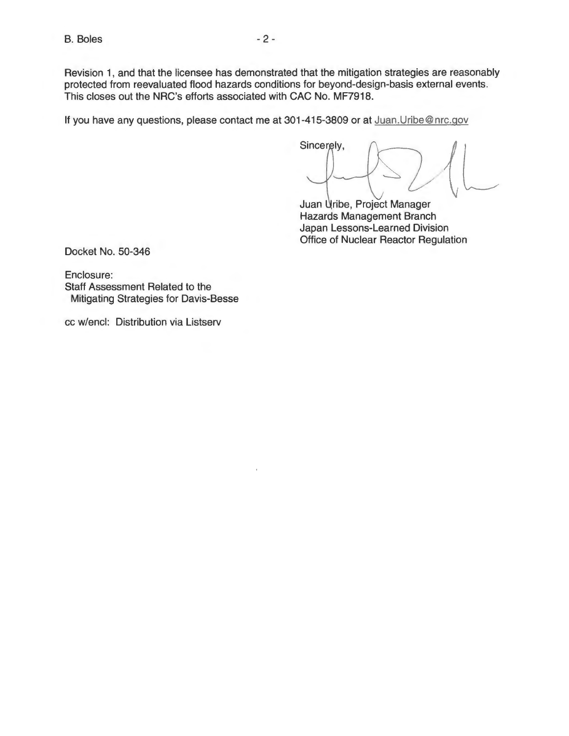Revision 1, and that the licensee has demonstrated that the mitigation strategies are reasonably protected from reevaluated flood hazards conditions for beyond-design-basis external events. This closes out the NRC's efforts associated with CAC No. MF7918.

If you have any questions, please contact me at 301-415-3809 or at Juan. Uribe@nrc.gov

Sincerely,

Juan Uribe, Project Manager Hazards Management Branch Japan Lessons-Learned Division Office of Nuclear Reactor Regulation

Docket No. 50-346

Enclosure: Staff Assessment Related to the Mitigating Strategies for Davis-Besse

cc w/encl: Distribution via Listserv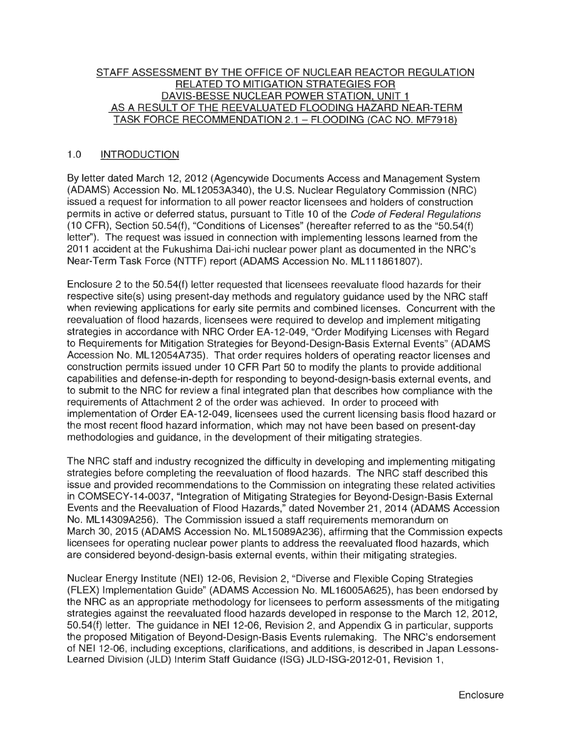### STAFF ASSESSMENT BY THE OFFICE OF NUCLEAR REACTOR REGULATION RELATED TO MITIGATION STRATEGIES FOR DAVIS-BESSE NUCLEAR POWER STATION. UNIT 1 AS A RESULT OF THE REEVALUATED FLOODING HAZARD NEAR-TERM TASK FORCE RECOMMENDATION 2.1 - FLOODING (CAC NO. MF7918)

## 1.0 INTRODUCTION

By letter dated March 12, 2012 (Agencywide Documents Access and Management System (ADAMS) Accession No. ML 12053A340), the U.S. Nuclear Regulatory Commission (NRC) issued a request for information to all power reactor licensees and holders of construction permits in active or deferred status, pursuant to Title 10 of the Code of Federal Regulations (10 CFR), Section 50.54(f), "Conditions of Licenses" (hereafter referred to as the "50.54(f) letter''). The request was issued in connection with implementing lessons learned from the 2011 accident at the Fukushima Dai-ichi nuclear power plant as documented in the NRC's Near-Term Task Force (NTTF) report (ADAMS Accession No. ML111861807).

Enclosure 2 to the 50.54(f) letter requested that licensees reevaluate flood hazards for their respective site(s) using present-day methods and regulatory guidance used by the NRC staff when reviewing applications for early site permits and combined licenses. Concurrent with the reevaluation of flood hazards, licensees were required to develop and implement mitigating strategies in accordance with NRC Order EA-12-049, "Order Modifying Licenses with Regard to Requirements for Mitigation Strategies for Beyond-Design-Basis External Events" (ADAMS Accession No. ML 12054A735). That order requires holders of operating reactor licenses and construction permits issued under 10 CFR Part 50 to modify the plants to provide additional capabilities and defense-in-depth for responding to beyond-design-basis external events, and to submit to the NRC for review a final integrated plan that describes how compliance with the requirements of Attachment 2 of the order was achieved. In order to proceed with implementation of Order EA-12-049, licensees used the current licensing basis flood hazard or the most recent flood hazard information, which may not have been based on present-day methodologies and guidance, in the development of their mitigating strategies.

The NRC staff and industry recognized the difficulty in developing and implementing mitigating strategies before completing the reevaluation of flood hazards. The NRC staff described this issue and provided recommendations to the Commission on integrating these related activities in COMSECY-14-0037, "Integration of Mitigating Strategies for Beyond-Design-Basis External Events and the Reevaluation of Flood Hazards," dated November 21 , 2014 (ADAMS Accession No. ML14309A256). The Commission issued a staff requirements memorandum on March 30, 2015 (ADAMS Accession No. ML 15089A236), affirming that the Commission expects licensees for operating nuclear power plants to address the reevaluated flood hazards, which are considered beyond-design-basis external events, within their mitigating strategies.

Nuclear Energy Institute (NEI) 12-06, Revision 2, "Diverse and Flexible Coping Strategies (FLEX) Implementation Guide" (ADAMS Accession No. ML 16005A625), has been endorsed by the NRC as an appropriate methodology for licensees to perform assessments of the mitigating strategies against the reevaluated flood hazards developed in response to the March 12, 2012, 50.54(f) letter. The guidance in NEI 12-06, Revision 2, and Appendix G in particular, supports the proposed Mitigation of Beyond-Design-Basis Events rulemaking. The NRC's endorsement of NEI 12-06, including exceptions, clarifications, and additions, is described in Japan Lessons-Learned Division (JLD) Interim Staff Guidance (ISG) JLD-ISG-2012-01, Revision 1,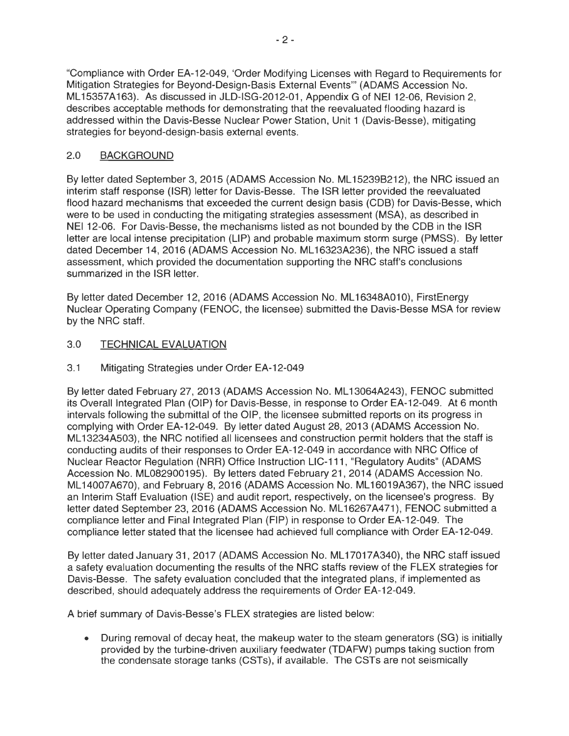"Compliance with Order EA-12-049, 'Order Modifying Licenses with Regard to Requirements for Mitigation Strategies for Beyond-Design-Basis External Events"' (ADAMS Accession No. ML15357A163). As discussed in JLD-ISG-2012-01 , Appendix G of NEI 12-06, Revision 2, describes acceptable methods for demonstrating that the reevaluated flooding hazard is addressed within the Davis-Besse Nuclear Power Station, Unit 1 (Davis-Besse), mitigating strategies for beyond-design-basis external events.

# 2.0 BACKGROUND

By letter dated September 3, 2015 (ADAMS Accession No. ML 15239B212), the NRG issued an interim staff response (ISR) letter for Davis-Besse. The ISR letter provided the reevaluated flood hazard mechanisms that exceeded the current design basis (COB) for Davis-Besse, which were to be used in conducting the mitigating strategies assessment (MSA), as described in NEI 12-06. For Davis-Besse, the mechanisms listed as not bounded by the COB in the ISR letter are local intense precipitation (LIP) and probable maximum storm surge (PMSS). By letter dated December 14, 2016 (ADAMS Accession No. ML16323A236), the NRC issued a staff assessment, which provided the documentation supporting the NRG staff's conclusions summarized in the ISR letter.

By letter dated December 12, 2016 (ADAMS Accession No. ML16348A010), FirstEnergy Nuclear Operating Company (FENOC, the licensee) submitted the Davis-Besse MSA for review by the NRG staff.

# 3.0 TECHNICAL EVALUATION

3.1 Mitigating Strategies under Order EA-12-049

By letter dated February 27, 2013 (ADAMS Accession No. ML13064A243), FENOC submitted its Overall Integrated Plan (OIP) for Davis-Besse, in response to Order EA-12-049. At 6 month intervals following the submittal of the OIP, the licensee submitted reports on its progress in complying with Order EA-12-049. By letter dated August 28, 2013 (ADAMS Accession No. ML 13234A503), the NRG notified all licensees and construction permit holders that the staff is conducting audits of their responses to Order EA-12-049 in accordance with NRG Office of Nuclear Reactor Regulation (NRR) Office Instruction LIC-111 , "Regulatory Audits" (ADAMS Accession No. ML082900195). By letters dated February 21, 2014 (ADAMS Accession No. ML 14007A670), and February 8, 2016 (ADAMS Accession No. ML 16019A367), the NRG issued an Interim Staff Evaluation (ISE) and audit report, respectively, on the licensee's progress. By letter dated September 23, 2016 (ADAMS Accession No. ML 16267A471), FENOC submitted a compliance letter and Final Integrated Plan (FIP) in response to Order EA-12-049. The compliance letter stated that the licensee had achieved full compliance with Order EA-12-049.

By letter dated January 31, 2017 (ADAMS Accession No. ML17017A340), the NRC staff issued a safety evaluation documenting the results of the NRG staffs review of the FLEX strategies for Davis-Besse. The safety evaluation concluded that the integrated plans, if implemented as described, should adequately address the requirements of Order EA-12-049.

A brief summary of Davis-Besse's FLEX strategies are listed below:

• During removal of decay heat, the makeup water to the steam generators (SG) is initially provided by the turbine-driven auxiliary feedwater (TDAFW) pumps taking suction from the condensate storage tanks (CSTs), if available. The CSTs are not seismically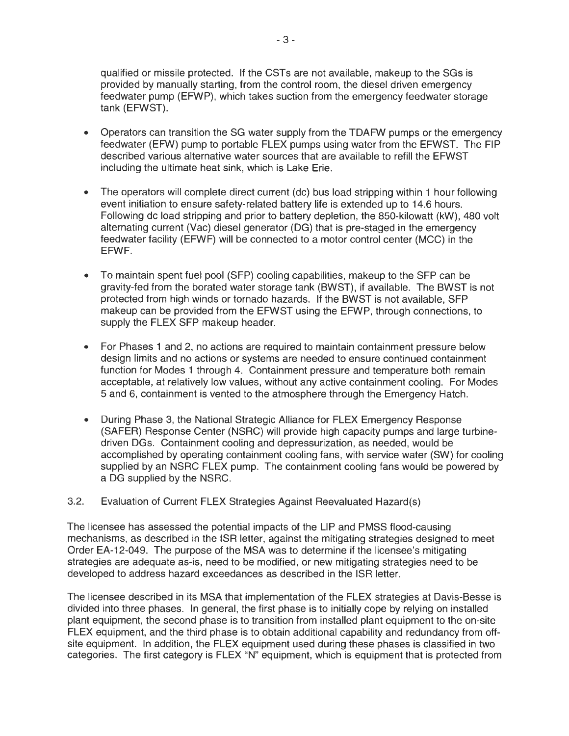qualified or missile protected. If the CSTs are not available, makeup to the SGs is provided by manually starting, from the control room, the diesel driven emergency feedwater pump (EFWP), which takes suction from the emergency feedwater storage tank (EFWST}.

- Operators can transition the SG water supply from the TDAFW pumps or the emergency feedwater (EFW) pump to portable FLEX pumps using water from the EFWST. The FIP described various alternative water sources that are available to refill the EFWST including the ultimate heat sink, which is Lake Erie.
- The operators will complete direct current (dc) bus load stripping within 1 hour following event initiation to ensure safety-related battery life is extended up to 14.6 hours. Following de load stripping and prior to battery depletion, the 850-kilowatt (kW), 480 volt alternating current (Vac) diesel generator (DG) that is pre-staged in the emergency feedwater facility (EFWF) will be connected to a motor control center (MCC) in the EFWF.
- To maintain spent fuel pool (SFP) cooling capabilities, makeup to the SFP can be gravity-fed from the borated water storage tank (BWST), if available. The BWST is not protected from high winds or tornado hazards. If the BWST is not available, SFP makeup can be provided from the EFWST using the EFWP, through connections, to supply the FLEX SFP makeup header.
- For Phases 1 and 2, no actions are required to maintain containment pressure below design limits and no actions or systems are needed to ensure continued containment function for Modes 1 through 4. Containment pressure and temperature both remain acceptable, at relatively low values, without any active containment cooling. For Modes 5 and 6, containment is vented to the atmosphere through the Emergency Hatch.
- During Phase 3, the National Strategic Alliance for FLEX Emergency Response (SAFER) Response Center (NSRC) will provide high capacity pumps and large turbinedriven DGs. Containment cooling and depressurization, as needed, would be accomplished by operating containment cooling fans, with service water (SW) for cooling supplied by an NSRC FLEX pump. The containment cooling fans would be powered by a DG supplied by the NSRC.
- 3.2. Evaluation of Current FLEX Strategies Against Reevaluated Hazard(s)

The licensee has assessed the potential impacts of the LIP and PMSS flood-causing mechanisms, as described in the ISR letter, against the mitigating strategies designed to meet Order EA-12-049. The purpose of the MSA was to determine if the licensee's mitigating strategies are adequate as-is, need to be modified, or new mitigating strategies need to be developed to address hazard exceedances as described in the ISR letter.

The licensee described in its MSA that implementation of the FLEX strategies at Davis-Besse is divided into three phases. In general, the first phase is to initially cope by relying on installed plant equipment, the second phase is to transition from installed plant equipment to the on-site FLEX equipment, and the third phase is to obtain additional capability and redundancy from offsite equipment. In addition, the FLEX equipment used during these phases is classified in two categories. The first category is FLEX "N" equipment, which is equipment that is protected from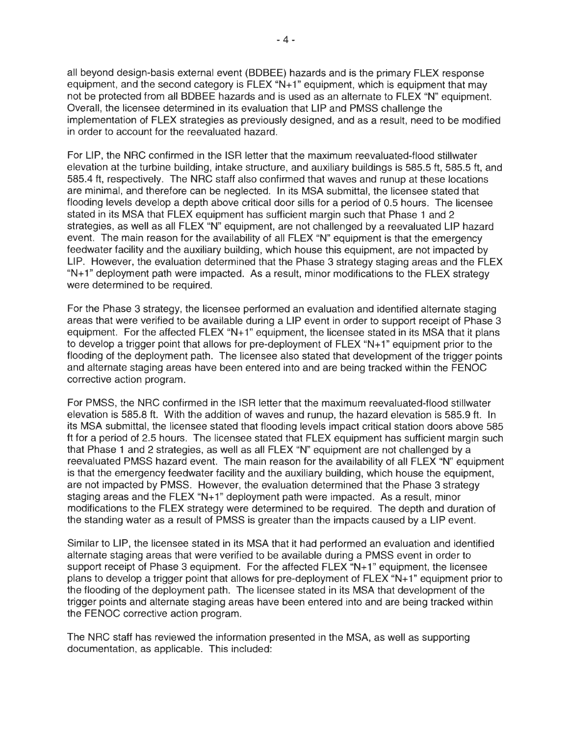all beyond design-basis external event (BDBEE) hazards and is the primary FLEX response equipment, and the second category is FLEX "N+ 1" equipment, which is equipment that may not be protected from all BDBEE hazards and is used as an alternate to FLEX "N" equipment. Overall, the licensee determined in its evaluation that LIP and PMSS challenge the implementation of FLEX strategies as previously designed, and as a result, need to be modified in order to account for the reevaluated hazard.

For LIP, the NRC confirmed in the ISR letter that the maximum reevaluated-flood stillwater elevation at the turbine building, intake structure, and auxiliary buildings is 585.5 ft, 585.5 ft, and 585.4 ft, respectively. The NRC staff also confirmed that waves and runup at these locations are minimal, and therefore can be neglected. In its MSA submittal, the licensee stated that flooding levels develop a depth above critical door sills for a period of 0.5 hours. The licensee stated in its MSA that FLEX equipment has sufficient margin such that Phase 1 and 2 strategies, as well as all FLEX "N" equipment, are not challenged by a reevaluated LIP hazard event. The main reason for the availability of all FLEX "N" equipment is that the emergency feedwater facility and the auxiliary building, which house this equipment, are not impacted by LIP. However, the evaluation determined that the Phase 3 strategy staging areas and the FLEX "N+1" deployment path were impacted. As a result, minor modifications to the FLEX strategy were determined to be required.

For the Phase 3 strategy, the licensee performed an evaluation and identified alternate staging areas that were verified to be available during a LIP event in order to support receipt of Phase 3 equipment. For the affected FLEX "N+1" equipment, the licensee stated in its MSA that it plans to develop a trigger point that allows for pre-deployment of FLEX "N+ 1" equipment prior to the flooding of the deployment path. The licensee also stated that development of the trigger points and alternate staging areas have been entered into and are being tracked within the FENOC corrective action program.

For PMSS, the NRC confirmed in the ISR letter that the maximum reevaluated-flood stillwater elevation is 585.8 ft. With the addition of waves and runup, the hazard elevation is 585.9 ft. In its MSA submittal, the licensee stated that flooding levels impact critical station doors above 585 ft for a period of 2.5 hours. The licensee stated that FLEX equipment has sufficient margin such that Phase 1 and 2 strategies, as well as all FLEX "N" equipment are not challenged by a reevaluated PMSS hazard event. The main reason for the availability of all FLEX "N" equipment is that the emergency feedwater facility and the auxiliary building, which house the equipment, are not impacted by PMSS. However, the evaluation determined that the Phase 3 strategy staging areas and the FLEX "N+1" deployment path were impacted. As a result, minor modifications to the FLEX strategy were determined to be required. The depth and duration of the standing water as a result of PMSS is greater than the impacts caused by a LIP event.

Similar to LIP, the licensee stated in its MSA that it had performed an evaluation and identified alternate staging areas that were verified to be available during a PMSS event in order to support receipt of Phase 3 equipment. For the affected FLEX "N+1" equipment, the licensee plans to develop a trigger point that allows for pre-deployment of FLEX "N+ 1" equipment prior to the flooding of the deployment path. The licensee stated in its MSA that development of the trigger points and alternate staging areas have been entered into and are being tracked within the FENOC corrective action program.

The NRC staff has reviewed the information presented in the MSA, as well as supporting documentation, as applicable. This included: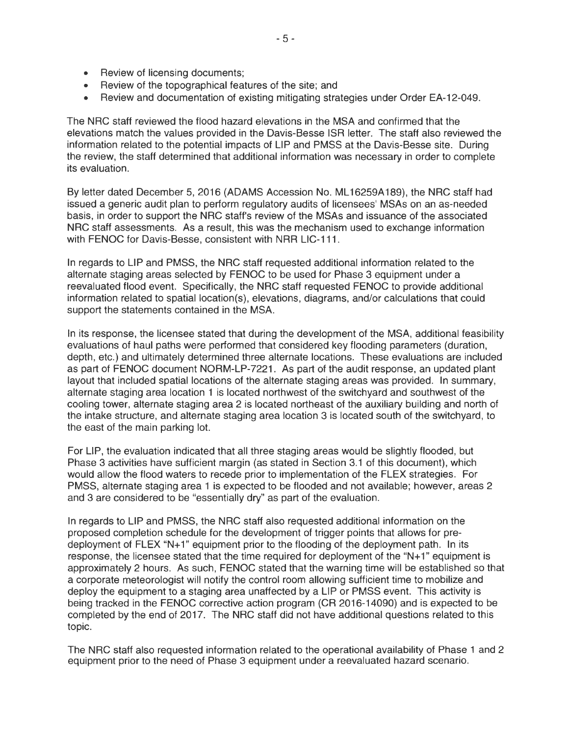- Review of licensing documents;
- Review of the topographical features of the site; and
- Review and documentation of existing mitigating strategies under Order EA-12-049.

The NRG staff reviewed the flood hazard elevations in the MSA and confirmed that the elevations match the values provided in the Davis-Besse ISR letter. The staff also reviewed the information related to the potential impacts of LIP and PMSS at the Davis-Besse site. During the review, the staff determined that additional information was necessary in order to complete its evaluation.

By letter dated December 5, 2016 (ADAMS Accession No. ML 16259A 189), the NRG staff had issued a generic audit plan to perform regulatory audits of licensees' MSAs on an as-needed basis, in order to support the NRG staff's review of the MSAs and issuance of the associated NRG staff assessments. As a result, this was the mechanism used to exchange information with FENOC for Davis-Besse, consistent with NRR LIC-111.

In regards to LIP and PMSS, the NRG staff requested additional information related to the alternate staging areas selected by FENOC to be used for Phase 3 equipment under a reevaluated flood event. Specifically, the NRG staff requested FENOC to provide additional information related to spatial location(s), elevations, diagrams, and/or calculations that could support the statements contained in the MSA.

In its response, the licensee stated that during the development of the MSA, additional feasibility evaluations of haul paths were performed that considered key flooding parameters (duration, depth, etc.) and ultimately determined three alternate locations. These evaluations are included as part of FENOC document NORM-LP-7221. As part of the audit response, an updated plant layout that included spatial locations of the alternate staging areas was provided. In summary, alternate staging area location 1 is located northwest of the switchyard and southwest of the cooling tower, alternate staging area 2 is located northeast of the auxiliary building and north of the intake structure, and alternate staging area location 3 is located south of the switchyard, to the east of the main parking lot.

For LIP, the evaluation indicated that all three staging areas would be slightly flooded, but Phase 3 activities have sufficient margin (as stated in Section 3.1 of this document), which would allow the flood waters to recede prior to implementation of the FLEX strategies. For PMSS, alternate staging area 1 is expected to be flooded and not available; however, areas 2 and 3 are considered to be "essentially dry" as part of the evaluation.

In regards to LIP and PMSS, the NRG staff also requested additional information on the proposed completion schedule for the development of trigger points that allows for predeployment of FLEX "N+1" equipment prior to the flooding of the deployment path. In its response, the licensee stated that the time required for deployment of the "N+ 1" equipment is approximately 2 hours. As such, FENOC stated that the warning time will be established so that a corporate meteorologist will notify the control room allowing sufficient time to mobilize and deploy the equipment to a staging area unaffected by a LIP or PMSS event. This activity is being tracked in the FENOC corrective action program (CR 2016-14090) and is expected to be completed by the end of 2017. The NRG staff did not have additional questions related to this topic.

The NRG staff also requested information related to the operational availability of Phase 1 and 2 equipment prior to the need of Phase 3 equipment under a reevaluated hazard scenario.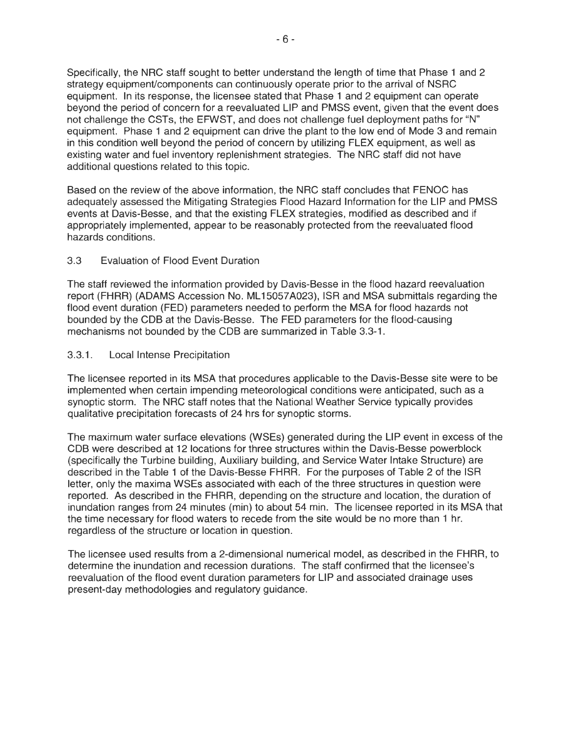Specifically, the NRC staff sought to better understand the length of time that Phase 1 and 2 strategy equipment/components can continuously operate prior to the arrival of NSRC equipment. In its response, the licensee stated that Phase 1 and 2 equipment can operate beyond the period of concern for a reevaluated LIP and PMSS event, given that the event does not challenge the CSTs, the EFWST, and does not challenge fuel deployment paths for "N" equipment. Phase 1 and 2 equipment can drive the plant to the low end of Mode 3 and remain in this condition well beyond the period of concern by utilizing FLEX equipment, as well as existing water and fuel inventory replenishment strategies. The NRC staff did not have additional questions related to this topic.

Based on the review of the above information, the NRC staff concludes that FENOC has adequately assessed the Mitigating Strategies Flood Hazard Information for the LIP and PMSS events at Davis-Besse, and that the existing FLEX strategies, modified as described and if appropriately implemented, appear to be reasonably protected from the reevaluated flood hazards conditions.

### 3.3 Evaluation of Flood Event Duration

The staff reviewed the information provided by Davis-Besse in the flood hazard reevaluation report (FHRR) (ADAMS Accession No. ML 15057 A023), ISR and MSA submittals regarding the flood event duration (FED) parameters needed to perform the MSA for flood hazards not bounded by the COB at the Davis-Besse. The FED parameters for the flood-causing mechanisms not bounded by the COB are summarized in Table 3.3-1.

#### 3.3.1. Local Intense Precipitation

The licensee reported in its MSA that procedures applicable to the Davis-Besse site were to be implemented when certain impending meteorological conditions were anticipated, such as a synoptic storm. The NRC staff notes that the National Weather Service typically provides qualitative precipitation forecasts of 24 hrs for synoptic storms.

The maximum water surface elevations (WSEs) generated during the LIP event in excess of the COB were described at 12 locations for three structures within the Davis-Besse powerblock (specifically the Turbine building, Auxiliary building, and Service Water Intake Structure) are described in the Table 1 of the Davis-Besse FHRR. For the purposes of Table 2 of the ISR letter, only the maxima WSEs associated with each of the three structures in question were reported. As described in the FHRR, depending on the structure and location, the duration of inundation ranges from 24 minutes (min) to about 54 min. The licensee reported in its MSA that the time necessary for flood waters to recede from the site would be no more than 1 hr. regardless of the structure or location in question.

The licensee used results from a 2-dimensional numerical model, as described in the FHRR, to determine the inundation and recession durations. The staff confirmed that the licensee's reevaluation of the flood event duration parameters for LIP and associated drainage uses present-day methodologies and regulatory guidance.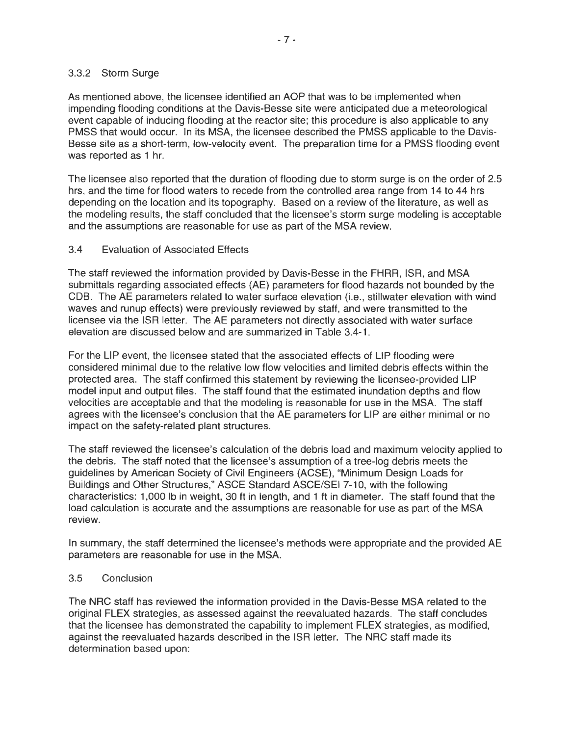#### 3.3.2 Storm Surge

As mentioned above, the licensee identified an AOP that was to be implemented when impending flooding conditions at the Davis-Besse site were anticipated due a meteorological event capable of inducing flooding at the reactor site; this procedure is also applicable to any PMSS that would occur. In its MSA, the licensee described the PMSS applicable to the Davis-Besse site as a short-term, low-velocity event. The preparation time for a PMSS flooding event was reported as 1 hr.

The licensee also reported that the duration of flooding due to storm surge is on the order of 2.5 hrs, and the time for flood waters to recede from the controlled area range from 14 to 44 hrs depending on the location and its topography. Based on a review of the literature, as well as the modeling results, the staff concluded that the licensee's storm surge modeling is acceptable and the assumptions are reasonable for use as part of the MSA review.

#### 3.4 Evaluation of Associated Effects

The staff reviewed the information provided by Davis-Besse in the FHRR, ISR, and MSA submittals regarding associated effects (AE) parameters for flood hazards not bounded by the COB. The AE parameters related to water surface elevation (i.e., stillwater elevation with wind waves and runup effects) were previously reviewed by staff, and were transmitted to the licensee via the ISR letter. The AE parameters not directly associated with water surface elevation are discussed below and are summarized in Table 3.4-1.

For the LIP event, the licensee stated that the associated effects of LIP flooding were considered minimal due to the relative low flow velocities and limited debris effects within the protected area. The staff confirmed this statement by reviewing the licensee-provided LIP model input and output files. The staff found that the estimated inundation depths and flow velocities are acceptable and that the modeling is reasonable for use in the MSA. The staff agrees with the licensee's conclusion that the AE parameters for LIP are either minimal or no impact on the safety-related plant structures.

The staff reviewed the licensee's calculation of the debris load and maximum velocity applied to the debris. The staff noted that the licensee's assumption of a tree-log debris meets the guidelines by American Society of Civil Engineers (ACSE), "Minimum Design Loads for Buildings and Other Structures," ASCE Standard ASCE/SEI 7-10, with the following characteristics: 1,000 lb in weight, 30 ft in length, and 1 ft in diameter. The staff found that the load calculation is accurate and the assumptions are reasonable for use as part of the MSA review.

In summary, the staff determined the licensee's methods were appropriate and the provided AE parameters are reasonable for use in the MSA.

#### 3.5 Conclusion

The NRC staff has reviewed the information provided in the Davis-Besse MSA related to the original FLEX strategies, as assessed against the reevaluated hazards. The staff concludes that the licensee has demonstrated the capability to implement FLEX strategies, as modified, against the reevaluated hazards described in the ISR letter. The NRC staff made its determination based upon: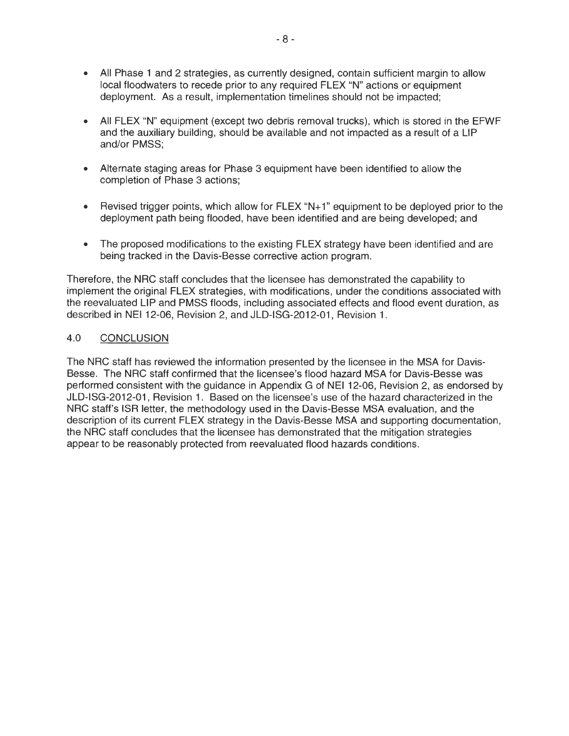- All Phase 1 and 2 strategies, as currently designed, contain sufficient margin to allow local floodwaters to recede prior to any required FLEX "N" actions or equipment deployment. As a result, implementation timelines should not be impacted;
- All FLEX "N" equipment (except two debris removal trucks), which is stored in the EFWF and the auxiliary building, should be available and not impacted as a result of a LIP and/or PMSS;
- Alternate staging areas for Phase 3 equipment have been identified to allow the completion of Phase 3 actions;
- Revised trigger points, which allow for FLEX "N+1" equipment to be deployed prior to the deployment path being flooded, have been identified and are being developed; and
- The proposed modifications to the existing FLEX strategy have been identified and are being tracked in the Davis-Besse corrective action program.

Therefore, the NRC staff concludes that the licensee has demonstrated the capability to implement the original FLEX strategies, with modifications, under the conditions associated with the reevaluated LIP and PMSS floods, including associated effects and flood event duration, as described in NEI 12-06, Revision 2, and JLD-ISG-2012-01, Revision 1.

## 4.0 CONCLUSION

The NRC staff has reviewed the information presented by the licensee in the MSA for Davis-Besse. The NRC staff confirmed that the licensee's flood hazard MSA for Davis-Besse was performed consistent with the guidance in Appendix G of NEI 12-06, Revision 2, as endorsed by JLD-ISG-2012-01 , Revision 1. Based on the licensee's use of the hazard characterized in the NRC staff's ISR letter, the methodology used in the Davis-Besse MSA evaluation, and the description of its current FLEX strategy in the Davis-Besse MSA and supporting documentation, the NRC staff concludes that the licensee has demonstrated that the mitigation strategies appear to be reasonably protected from reevaluated flood hazards conditions.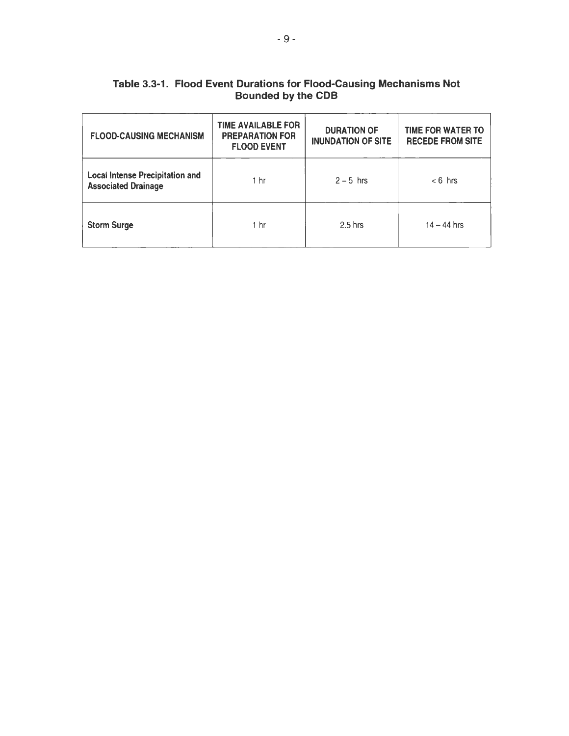| <b>FLOOD-CAUSING MECHANISM</b>                                       | <b>TIME AVAILABLE FOR</b><br><b>PREPARATION FOR</b><br><b>FLOOD EVENT</b> | <b>DURATION OF</b><br><b>INUNDATION OF SITE</b> | <b>TIME FOR WATER TO</b><br><b>RECEDE FROM SITE</b> |  |  |  |
|----------------------------------------------------------------------|---------------------------------------------------------------------------|-------------------------------------------------|-----------------------------------------------------|--|--|--|
| <b>Local Intense Precipitation and</b><br><b>Associated Drainage</b> | 1 <sub>hr</sub>                                                           | $2 - 5$ hrs                                     | $< 6$ hrs                                           |  |  |  |
| <b>Storm Surge</b>                                                   | 1 <sub>hr</sub>                                                           | $2.5$ hrs                                       | $14 - 44$ hrs                                       |  |  |  |

# Table 3.3-1. Flood Event Durations for Flood-Causing Mechanisms Not Bounded by the COB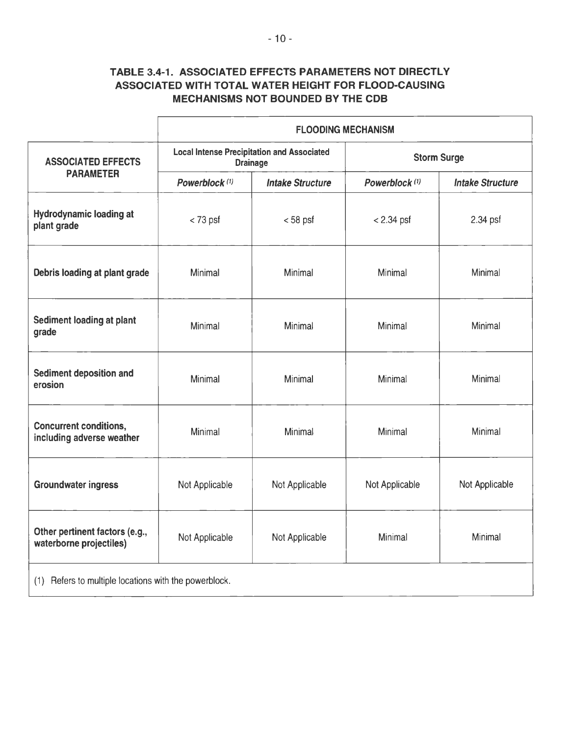# TABLE 3.4-1. ASSOCIATED EFFECTS PARAMETERS NOT DIRECTLY ASSOCIATED WITH TOTAL WATER HEIGHT FOR FLOOD-CAUSING MECHANISMS NOT BOUNDED BY THE COB

|                                                            | <b>FLOODING MECHANISM</b>                                            |                         |                           |                         |
|------------------------------------------------------------|----------------------------------------------------------------------|-------------------------|---------------------------|-------------------------|
| <b>ASSOCIATED EFFECTS</b><br><b>PARAMETER</b>              | <b>Local Intense Precipitation and Associated</b><br><b>Drainage</b> |                         | <b>Storm Surge</b>        |                         |
|                                                            | Powerblock <sup>(1)</sup>                                            | <b>Intake Structure</b> | Powerblock <sup>(1)</sup> | <b>Intake Structure</b> |
| <b>Hydrodynamic loading at</b><br>plant grade              | $<$ 73 psf                                                           | $< 58$ psf              | $< 2.34$ psf              | 2.34 psf                |
| Debris loading at plant grade                              | Minimal                                                              | Minimal                 | Minimal                   | Minimal                 |
| Sediment loading at plant<br>grade                         | Minimal                                                              | Minimal                 | Minimal                   | Minimal                 |
| Sediment deposition and<br>erosion                         | Minimal                                                              | Minimal                 | Minimal                   | Minimal                 |
| <b>Concurrent conditions,</b><br>including adverse weather | Minimal                                                              | Minimal                 | Minimal                   | Minimal                 |
| <b>Groundwater ingress</b>                                 | Not Applicable                                                       | Not Applicable          | Not Applicable            | Not Applicable          |
| Other pertinent factors (e.g.,<br>waterborne projectiles)  | Not Applicable                                                       | Not Applicable          | Minimal                   | Minimal                 |
| (1) Refers to multiple locations with the powerblock.      |                                                                      |                         |                           |                         |